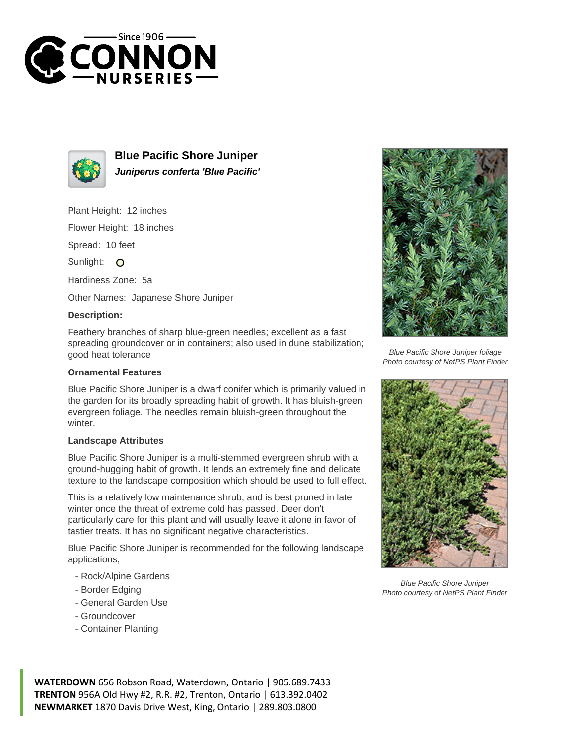



**Blue Pacific Shore Juniper Juniperus conferta 'Blue Pacific'**

Plant Height: 12 inches

Flower Height: 18 inches

Spread: 10 feet

Sunlight: O

Hardiness Zone: 5a

Other Names: Japanese Shore Juniper

## **Description:**

Feathery branches of sharp blue-green needles; excellent as a fast spreading groundcover or in containers; also used in dune stabilization; good heat tolerance

## **Ornamental Features**

Blue Pacific Shore Juniper is a dwarf conifer which is primarily valued in the garden for its broadly spreading habit of growth. It has bluish-green evergreen foliage. The needles remain bluish-green throughout the winter.

## **Landscape Attributes**

Blue Pacific Shore Juniper is a multi-stemmed evergreen shrub with a ground-hugging habit of growth. It lends an extremely fine and delicate texture to the landscape composition which should be used to full effect.

This is a relatively low maintenance shrub, and is best pruned in late winter once the threat of extreme cold has passed. Deer don't particularly care for this plant and will usually leave it alone in favor of tastier treats. It has no significant negative characteristics.

Blue Pacific Shore Juniper is recommended for the following landscape applications;

- Rock/Alpine Gardens
- Border Edging
- General Garden Use
- Groundcover
- Container Planting



Blue Pacific Shore Juniper foliage Photo courtesy of NetPS Plant Finder



Blue Pacific Shore Juniper Photo courtesy of NetPS Plant Finder

**WATERDOWN** 656 Robson Road, Waterdown, Ontario | 905.689.7433 **TRENTON** 956A Old Hwy #2, R.R. #2, Trenton, Ontario | 613.392.0402 **NEWMARKET** 1870 Davis Drive West, King, Ontario | 289.803.0800